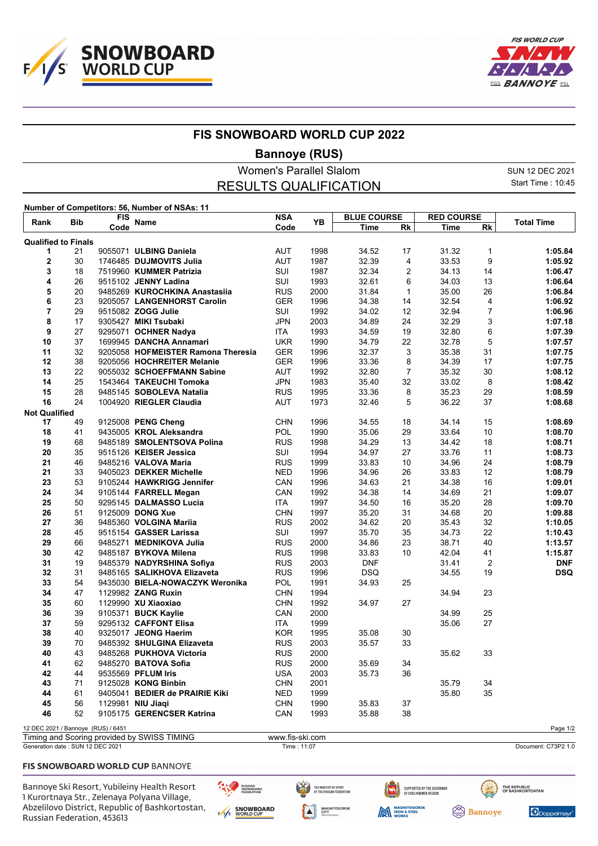



## **FIS SNOWBOARD WORLD CUP 2022**

**Bannoye (RUS)**

Women's Parallel Slalom SUN 12 DEC 2021 Start Time : 10:45 RESULTS QUALIFICATION **Number of Competitors: 56, Number of NSAs: 11 Rank** Bib FIS Name<br>
FIS Name **FIS** Name **FIS** Name **FIS BLUE COURSE RED COURSE Reference Manne Code PB <u>The Rk Time Rk</u> <b>Total Time** 

|                                    |    | Code |                                             | Code            |      | Time       | Rk             | Time  | Rk             |                     |
|------------------------------------|----|------|---------------------------------------------|-----------------|------|------------|----------------|-------|----------------|---------------------|
| <b>Qualified to Finals</b>         |    |      |                                             |                 |      |            |                |       |                |                     |
| 1                                  | 21 |      | 9055071 ULBING Daniela                      | <b>AUT</b>      | 1998 | 34.52      | 17             | 31.32 | $\mathbf{1}$   | 1:05.84             |
| 2                                  | 30 |      | 1746485 DUJMOVITS Julia                     | <b>AUT</b>      | 1987 | 32.39      | 4              | 33.53 | 9              | 1:05.92             |
| 3                                  | 18 |      | 7519960 KUMMER Patrizia                     | SUI             | 1987 | 32.34      | $\overline{2}$ | 34.13 | 14             | 1:06.47             |
| 4                                  | 26 |      | 9515102 JENNY Ladina                        | SUI             | 1993 | 32.61      | 6              | 34.03 | 13             | 1:06.64             |
| 5                                  | 20 |      | 9485269 KUROCHKINA Anastasiia               | <b>RUS</b>      | 2000 | 31.84      | 1              | 35.00 | 26             | 1:06.84             |
| 6                                  | 23 |      | 9205057 LANGENHORST Carolin                 | <b>GER</b>      | 1996 | 34.38      | 14             | 32.54 | 4              | 1:06.92             |
| 7                                  | 29 |      | 9515082 ZOGG Julie                          | SUI             | 1992 | 34.02      | 12             | 32.94 | $\overline{7}$ | 1:06.96             |
| 8                                  | 17 |      | 9305427 MIKI Tsubaki                        | <b>JPN</b>      | 2003 | 34.89      | 24             | 32.29 | 3              | 1:07.18             |
| 9                                  | 27 |      | 9295071 OCHNER Nadya                        | ITA.            | 1993 | 34.59      | 19             | 32.80 | 6              | 1:07.39             |
| 10                                 | 37 |      | 1699945 DANCHA Annamari                     | <b>UKR</b>      | 1990 | 34.79      | 22             | 32.78 | 5              | 1:07.57             |
| 11                                 | 32 |      | 9205058 HOFMEISTER Ramona Theresia          | <b>GER</b>      | 1996 | 32.37      | 3              | 35.38 | 31             | 1:07.75             |
| 12                                 | 38 |      | 9205056 HOCHREITER Melanie                  | <b>GER</b>      | 1996 | 33.36      | 8              | 34.39 | 17             | 1:07.75             |
| 13                                 | 22 |      | 9055032 SCHOEFFMANN Sabine                  | <b>AUT</b>      | 1992 | 32.80      | 7              | 35.32 | 30             | 1:08.12             |
| 14                                 | 25 |      | 1543464 TAKEUCHI Tomoka                     | <b>JPN</b>      | 1983 | 35.40      | 32             | 33.02 | 8              | 1:08.42             |
| 15                                 | 28 |      | 9485145 SOBOLEVA Natalia                    | <b>RUS</b>      | 1995 | 33.36      | 8              | 35.23 | 29             | 1:08.59             |
| 16                                 | 24 |      | 1004920 RIEGLER Claudia                     | AUT             | 1973 | 32.46      | 5              | 36.22 | 37             | 1:08.68             |
| <b>Not Qualified</b>               |    |      |                                             |                 |      |            |                |       |                |                     |
| 17                                 | 49 |      | 9125008 PENG Cheng                          | <b>CHN</b>      | 1996 | 34.55      | 18             | 34.14 | 15             | 1:08.69             |
| 18                                 | 41 |      | 9435005 KROL Aleksandra                     | <b>POL</b>      | 1990 | 35.06      | 29             | 33.64 | 10             | 1:08.70             |
| 19                                 | 68 |      | 9485189 SMOLENTSOVA Polina                  | <b>RUS</b>      | 1998 | 34.29      | 13             | 34.42 | 18             | 1:08.71             |
| 20                                 | 35 |      | 9515126 KEISER Jessica                      | SUI             | 1994 | 34.97      | 27             | 33.76 | 11             | 1:08.73             |
| 21                                 | 46 |      | 9485216 VALOVA Maria                        | <b>RUS</b>      | 1999 | 33.83      | 10             | 34.96 | 24             | 1:08.79             |
| 21                                 | 33 |      | 9405023 DEKKER Michelle                     | <b>NED</b>      | 1996 | 34.96      | 26             | 33.83 | 12             | 1:08.79             |
| 23                                 | 53 |      | 9105244 HAWKRIGG Jennifer                   | CAN             | 1996 | 34.63      | 21             | 34.38 | 16             | 1:09.01             |
| 24                                 | 34 |      | 9105144 FARRELL Megan                       | CAN             | 1992 | 34.38      | 14             | 34.69 | 21             | 1:09.07             |
| 25                                 | 50 |      | 9295145 DALMASSO Lucia                      | ITA             | 1997 | 34.50      | 16             | 35.20 | 28             | 1:09.70             |
| 26                                 | 51 |      | 9125009 DONG Xue                            | <b>CHN</b>      | 1997 | 35.20      | 31             | 34.68 | 20             | 1:09.88             |
| 27                                 | 36 |      | 9485360 VOLGINA Mariia                      | <b>RUS</b>      | 2002 | 34.62      | 20             | 35.43 | 32             | 1:10.05             |
| 28                                 | 45 |      | 9515154 GASSER Larissa                      | SUI             | 1997 | 35.70      | 35             | 34.73 | 22             | 1:10.43             |
| 29                                 | 66 |      | 9485271 MEDNIKOVA Julia                     | <b>RUS</b>      | 2000 | 34.86      | 23             | 38.71 | 40             | 1:13.57             |
| 30                                 | 42 |      | 9485187 BYKOVA Milena                       | <b>RUS</b>      | 1998 | 33.83      | 10             | 42.04 | 41             | 1:15.87             |
| 31                                 | 19 |      | 9485379 NADYRSHINA Sofiya                   | <b>RUS</b>      | 2003 | <b>DNF</b> |                | 31.41 | $\overline{2}$ | <b>DNF</b>          |
| 32                                 | 31 |      | 9485165 SALIKHOVA Elizaveta                 | <b>RUS</b>      | 1996 | <b>DSQ</b> |                | 34.55 | 19             | <b>DSQ</b>          |
| 33                                 | 54 |      | 9435030 BIELA-NOWACZYK Weronika             | POL             | 1991 | 34.93      | 25             |       |                |                     |
| 34                                 | 47 |      | 1129982 ZANG Ruxin                          | <b>CHN</b>      | 1994 |            |                | 34.94 | 23             |                     |
| 35                                 | 60 |      | 1129990 XU Xiaoxiao                         | <b>CHN</b>      | 1992 | 34.97      | 27             |       |                |                     |
| 36                                 | 39 |      | 9105371 BUCK Kaylie                         | CAN             | 2000 |            |                | 34.99 | 25             |                     |
| 37                                 | 59 |      | 9295132 CAFFONT Elisa                       | <b>ITA</b>      | 1999 |            |                | 35.06 | 27             |                     |
| 38                                 | 40 |      | 9325017 JEONG Haerim                        | <b>KOR</b>      | 1995 | 35.08      | 30             |       |                |                     |
| 39                                 | 70 |      | 9485392 SHULGINA Elizaveta                  | <b>RUS</b>      | 2003 | 35.57      | 33             |       |                |                     |
| 40                                 | 43 |      | 9485268 PUKHOVA Victoria                    | <b>RUS</b>      | 2000 |            |                | 35.62 | 33             |                     |
| 41                                 | 62 |      | 9485270 BATOVA Sofia                        | <b>RUS</b>      | 2000 | 35.69      | 34             |       |                |                     |
| 42                                 | 44 |      | 9535569 PFLUM Iris                          | <b>USA</b>      | 2003 | 35.73      | 36             |       |                |                     |
| 43                                 | 71 |      | 9125028 KONG Binbin                         | <b>CHN</b>      | 2001 |            |                | 35.79 | 34             |                     |
| 44                                 | 61 |      | 9405041 BEDIER de PRAIRIE Kiki              | <b>NED</b>      | 1999 |            |                | 35.80 | 35             |                     |
| 45                                 | 56 |      | 1129981 NIU Jiaqi                           | <b>CHN</b>      | 1990 | 35.83      | 37             |       |                |                     |
| 46                                 | 52 |      | 9105175 GERENCSER Katrina                   | CAN             | 1993 | 35.88      | 38             |       |                |                     |
| 12 DEC 2021 / Bannoye (RUS) / 6451 |    |      |                                             |                 |      |            |                |       |                | Page 1/2            |
|                                    |    |      | Timing and Scoring provided by SWISS TIMING | www.fis-ski.com |      |            |                |       |                |                     |
| Generation date: SUN 12 DEC 2021   |    |      |                                             | Time: 11:07     |      |            |                |       |                | Document: C73P2 1.0 |

### FIS SNOWBOARD WORLD CUP BANNOYE

Bannoye Ski Resort, Yubileiny Health Resort 1 Kurortnaya Str., Zelenaya Polyana Village, Abzelilovo District, Republic of Bashkortostan, Russian Federation, 453613

RUSSIAN<br>SNOWBOARD<br>FEDERATION ENS SNOWBOARD THE MINISTRY OF SPORT<br>OF THE RUSSIAN EFRERATION **MAGNITOGORSK**<br>CITY<br>Administration



SUPPORTED BY THE GOVERNOR<br>OF CHELYABINSK REGION



Doppelmay